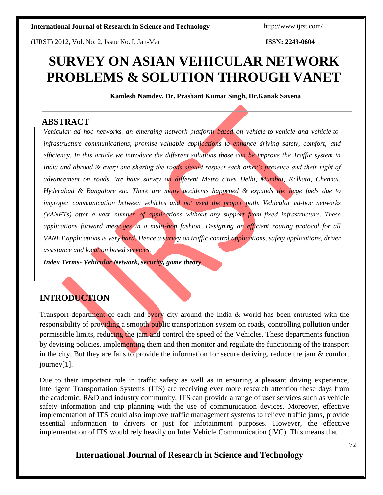(IJRST) 2012, Vol. No. 2, Issue No. I, Jan-Mar **ISSN: 2249-0604**

# **SURVEY ON ASIAN VEHICULAR NETWORK PROBLEMS & SOLUTION THROUGH VANET**

**Kamlesh Namdev, Dr. Prashant Kumar Singh, Dr.Kanak Saxena**

# **ABSTRACT**

*Vehicular ad hoc networks, an emerging network platform based on vehicle-to-vehicle and vehicle-toinfrastructure communications, promise valuable applications to enhance driving safety, comfort, and efficiency. In this article we introduce the different solutions those can be improve the Traffic system in India and abroad & every one sharing the roads should respect each other's presence and their right of advancement on roads. We have survey on different Metro cities Delhi, Mumbai, Kolkata, Chennai, Hyderabad & Bangalore etc. There are many accidents happened & expands the huge fuels due to improper communication between vehicles and not used the proper path. Vehicular ad-hoc networks (VANETs) offer a vast number of applications without any support from fixed infrastructure. These applications forward messages in a multi-hop fashion. Designing an efficient routing protocol for all VANET applications is very hard. Hence a survey on traffic control applications, safety applications, driver assistance and location based services.*

*Index Terms- Vehicular Network, security, game theory*

# **INTRODUCTION**

Transport department of each and every city around the India & world has been entrusted with the responsibility of providing a smooth public transportation system on roads, controlling pollution under permissible limits, reducing the jam and control the speed of the Vehicles. These departments function by devising policies, implementing them and then monitor and regulate the functioning of the transport in the city. But they are fails to provide the information for secure deriving, reduce the jam & comfort journey[1].

Due to their important role in traffic safety as well as in ensuring a pleasant driving experience, Intelligent Transportation Systems (ITS) are receiving ever more research attention these days from the academic, R&D and industry community. ITS can provide a range of user services such as vehicle safety information and trip planning with the use of communication devices. Moreover, effective implementation of ITS could also improve traffic management systems to relieve traffic jams, provide essential information to drivers or just for infotainment purposes. However, the effective implementation of ITS would rely heavily on Inter Vehicle Communication (lVC). This means that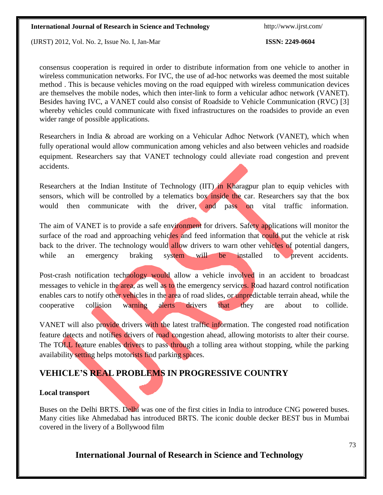(IJRST) 2012, Vol. No. 2, Issue No. I, Jan-Mar **ISSN: 2249-0604**

consensus cooperation is required in order to distribute information from one vehicle to another in wireless communication networks. For IVC, the use of ad-hoc networks was deemed the most suitable method . This is because vehicles moving on the road equipped with wireless communication devices are themselves the mobile nodes, which then inter-link to form a vehicular adhoc network (VANET). Besides having IVC, a VANET could also consist of Roadside to Vehicle Communication (RVC) [3] whereby vehicles could communicate with fixed infrastructures on the roadsides to provide an even wider range of possible applications.

Researchers in India & abroad are working on a Vehicular Adhoc Network (VANET), which when fully operational would allow communication among vehicles and also between vehicles and roadside equipment. Researchers say that VANET technology could alleviate road congestion and prevent accidents.

Researchers at the Indian Institute of Technology (IIT) in Kharagpur plan to equip vehicles with sensors, which will be controlled by a telematics box inside the car. Researchers say that the box would then communicate with the driver, and pass on vital traffic information.

The aim of VANET is to provide a safe environment for drivers. Safety applications will monitor the surface of the road and approaching vehicles and feed information that could put the vehicle at risk back to the driver. The technology would allow drivers to warn other vehicles of potential dangers, while an emergency braking system will be installed to prevent accidents.

Post-crash notification technology would allow a vehicle involved in an accident to broadcast messages to vehicle in the area, as well as to the emergency services. Road hazard control notification enables cars to notify other vehicles in the area of road slides, or unpredictable terrain ahead, while the cooperative collision warning alerts drivers that they are about to collide.

VANET will also provide drivers with the latest traffic information. The congested road notification feature detects and notifies drivers of road congestion ahead, allowing motorists to alter their course. The TOLL feature enables drivers to pass through a tolling area without stopping, while the parking availability setting helps motorists find parking spaces.

# **VEHICLE'S REAL PROBLEMS IN PROGRESSIVE COUNTRY**

#### **Local transport**

Buses on the [Delhi BRTS.](http://en.wikipedia.org/wiki/Delhi_BRTS) Delhi was one of the first cities in India to introduce CNG powered buses. Many cities like [Ahmedabad h](http://en.wikipedia.org/wiki/Ahmedabad_BRTS)as introduced BRTS. The iconic double decker [BEST b](http://en.wikipedia.org/wiki/Brihanmumbai_Electric_Supply_and_Transport)us in Mumbai covered in the livery of a Bollywood film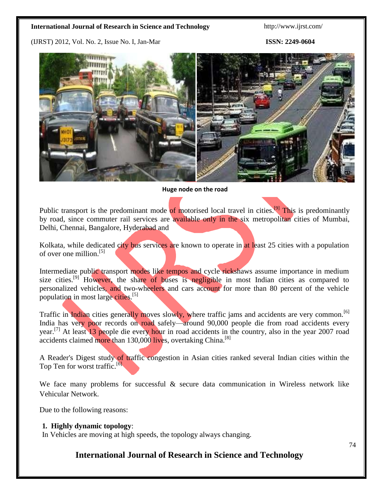(IJRST) 2012, Vol. No. 2, Issue No. I, Jan-Mar **ISSN: 2249-0604**



#### **Huge node on the road**

Public transport is the predominant mode of motorised local travel in cities.<sup>[\[9\]](http://en.wikipedia.org/wiki/Transport_in_India#cite_note-Tiwari-8)</sup> This is predominantly by road, since commuter rail services are available only in the six [metropolitan](http://en.wikipedia.org/wiki/Metropolitan_area) cities of [Mumbai,](http://en.wikipedia.org/wiki/Mumbai) [Delhi,](http://en.wikipedia.org/wiki/Delhi) [Chennai,](http://en.wikipedia.org/wiki/Chennai) [Bangalore,](http://en.wikipedia.org/wiki/Bangalore) [Hyderabad](http://en.wikipedia.org/wiki/Hyderabad%2C_Andhra_Pradesh) and

[Kolkata, w](http://en.wikipedia.org/wiki/Kolkata)hile dedicated city bus services are known to operate in at least 25 cities with a population of over one million.[\[5\]](http://en.wikipedia.org/wiki/Transport_in_India#cite_note-Singh-28)

Intermediate public transport modes like tempos and cycle rickshaws assume importance in medium size cities.<sup>[\[9\]](http://en.wikipedia.org/wiki/Transport_in_India#cite_note-Tiwari-8)</sup> However, the share of buses is negligible in most Indian cities as compared to personalized vehicles, and two-wheelers and cars account for more than 80 percent of the vehicle population in most large cities.<sup>[\[5\]](http://en.wikipedia.org/wiki/Transport_in_India#cite_note-Singh-28)</sup>

Traffic in Indian cities generally moves slowly, where traffic jams and accidents are very common.<sup>[\[6\]](http://en.wikipedia.org/wiki/Transport_in_India#cite_note-Poortraffic-29)</sup> India has very poor records on road safely—around 90,000 people die from road accidents every year.<sup>[\[7\]](http://en.wikipedia.org/wiki/Transport_in_India#cite_note-accidentvariableboard-30)</sup> At least 13 people die every hour in road accidents in the country, also in the year 2007 road accidents claimed more than 130,000 lives, overtaking China.<sup>[\[8\]](http://en.wikipedia.org/wiki/Transport_in_India#cite_note-India_leads_world_in_road_deaths%3A_WHO-31)</sup>

A [Reader's](http://en.wikipedia.org/wiki/Reader%27s_Digest) Digest study of traffic congestion in Asian cities ranked several Indian cities within the Top Ten for worst traffic.<sup>[\[6\]](http://en.wikipedia.org/wiki/Transport_in_India#cite_note-Poortraffic-29)</sup>

We face many problems for successful  $\&$  secure data communication in Wireless network like Vehicular Network.

Due to the following reasons:

#### **1. Highly dynamic topology**:

In Vehicles are moving at high speeds, the topology always changing.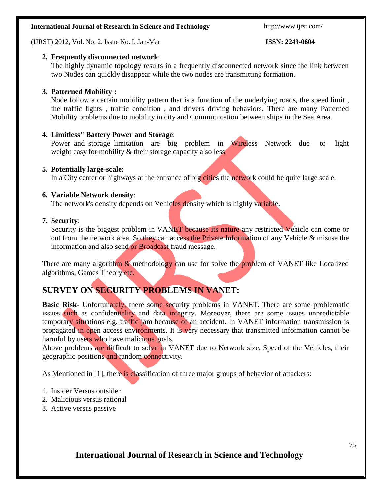(IJRST) 2012, Vol. No. 2, Issue No. I, Jan-Mar **ISSN: 2249-0604**

### **2. Frequently disconnected network**:

The highly dynamic topology results in a frequently disconnected network since the link between two Nodes can quickly disappear while the two nodes are transmitting formation.

### **3. Patterned Mobility :**

Node follow a certain mobility pattern that is a function of the underlying roads, the speed limit , the traffic lights , traffic condition , and drivers driving behaviors. There are many Patterned Mobility problems due to mobility in city and Communication between ships in the Sea Area.

#### **4. Limitless" Battery Power and Storage**:

Power and storage limitation are big problem in Wireless Network due to light weight easy for mobility & their storage capacity also less.

#### **5. Potentially large-scale:**

In a City center or highways at the entrance of big cities the network could be quite large scale.

#### **6. Variable Network density**:

The network's density depends on Vehicles density which is highly variable.

#### **7. Security**:

Security is the biggest problem in VANET because its nature any restricted Vehicle can come or out from the network area. So they can access the Private Information of any Vehicle & misuse the information and also send or Broadcast fraud message.

There are many algorithm  $\&$  methodology can use for solve the problem of VANET like Localized algorithms, Games Theory etc.

# **SURVEY ON SECURITY PROBLEMS IN VANET:**

**Basic Risk-** Unfortunately, there some security problems in VANET. There are some problematic issues such as confidentiality and data integrity. Moreover, there are some issues unpredictable temporary situations e.g. traffic jam because of an accident. In VANET information transmission is propagated in open access environments. It is very necessary that transmitted information cannot be harmful by users who have malicious goals.

Above problems are difficult to solve in VANET due to Network size, Speed of the Vehicles, their geographic positions and random connectivity.

As Mentioned in [1], there is classification of three major groups of behavior of attackers:

- 1. Insider Versus outsider
- 2. Malicious versus rational
- 3. Active versus passive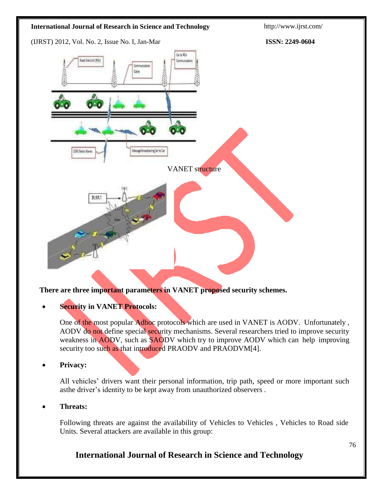

**There are three important parameters in VANET proposed security schemes.**

### **Security in VANET Protocols:**

One of the most popular Adhoc protocols which are used in VANET is AODV. Unfortunately , AODV do not define special security mechanisms. Several researchers tried to improve security weakness in AODV, such as SAODV which try to improve AODV which can help improving security too such as that introduced PRAODV and PRAODVM[4].

#### **Privacy:**

All vehicles' drivers want their personal information, trip path, speed or more important such asthe driver's identity to be kept away from unauthorized observers .

#### **Threats:**

Following threats are against the availability of Vehicles to Vehicles , Vehicles to Road side Units. Several attackers are available in this group: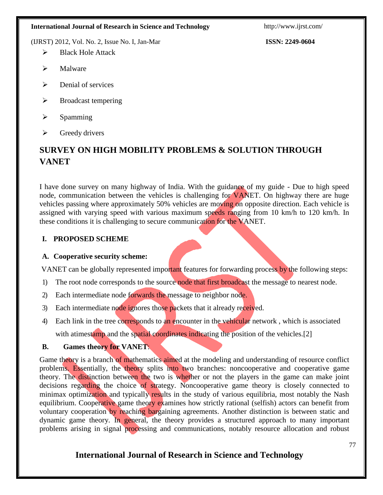(IJRST) 2012, Vol. No. 2, Issue No. I, Jan-Mar **ISSN: 2249-0604**

- $\triangleright$  Black Hole Attack
- > Malware
- $\triangleright$  Denial of services
- $\triangleright$  Broadcast tempering
- $\triangleright$  Spamming
- $\triangleright$  Greedy drivers

# **SURVEY ON HIGH MOBILITY PROBLEMS & SOLUTION THROUGH VANET**

I have done survey on many highway of India. With the guidance of my guide - Due to high speed node, communication between the vehicles is challenging for **VANET**. On highway there are huge vehicles passing where approximately 50% vehicles are moving on opposite direction. Each vehicle is assigned with varying speed with various maximum speeds ranging from 10 km/h to 120 km/h. In these conditions it is challenging to secure communication for the VANET.

# **I. PROPOSED SCHEME**

### **A. Cooperative security scheme:**

VANET can be globally represented important features for forwarding process by the following steps:

- 1) The root node corresponds to the source node that first broadcast the message to nearest node.
- 2) Each intermediate node forwards the message to neighbor node.
- 3) Each intermediate node ignores those packets that it already received.
- 4) Each link in the tree corresponds to an encounter in the vehicular network, which is associated with atimestamp and the spatial coordinates indicating the position of the vehicles.[2]

### **B. Games theory for VANET**:

Game theory is a branch of mathematics aimed at the modeling and understanding of resource conflict problems. Essentially, the theory splits into two branches: noncooperative and cooperative game theory. The distinction between the two is whether or not the players in the game can make joint decisions regarding the choice of strategy. Noncooperative game theory is closely connected to minimax optimization and typically results in the study of various equilibria, most notably the Nash equilibrium. Cooperative game theory examines how strictly rational (selfish) actors can benefit from voluntary cooperation by reaching bargaining agreements. Another distinction is between static and dynamic game theory. In general, the theory provides a structured approach to many important problems arising in signal processing and communications, notably resource allocation and robust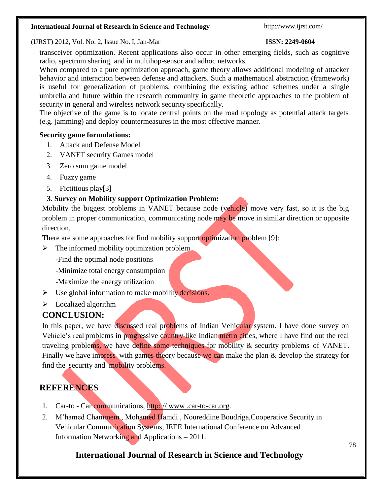#### (IJRST) 2012, Vol. No. 2, Issue No. I, Jan-Mar **ISSN: 2249-0604**

transceiver optimization. Recent applications also occur in other emerging fields, such as cognitive radio, spectrum sharing, and in multihop-sensor and adhoc networks.

When compared to a pure optimization approach, game theory allows additional modeling of attacker behavior and interaction between defense and attackers. Such a mathematical abstraction (framework) is useful for generalization of problems, combining the existing adhoc schemes under a single umbrella and future within the research community in game theoretic approaches to the problem of security in general and wireless network security specifically.

The objective of the game is to locate central points on the road topology as potential attack targets (e.g. jamming) and deploy countermeasures in the most effective manner.

#### **Security game formulations:**

- 1. Attack and Defense Model
- 2. VANET security Games model
- 3. Zero sum game model
- 4. Fuzzy game
- 5. Fictitious play[3]

#### **3. Survey on Mobility support Optimization Problem:**

Mobility the biggest problems in VANET because node (vehicle) move very fast, so it is the big problem in proper communication, communicating node may be move in similar direction or opposite direction.

There are some approaches for find mobility support optimization problem [9]:

- $\triangleright$  The informed mobility optimization problem
	- -Find the optimal node positions
	- -Minimize total energy consumption
	- -Maximize the energy utilization
- $\triangleright$  Use global information to make mobility decisions.
- $\triangleright$  Localized algorithm

# **CONCLUSION:**

In this paper, we have discussed real problems of Indian Vehicular system. I have done survey on Vehicle's real problems in progressive country like Indian metro cities, where I have find out the real traveling problems, we have define some techniques for mobility & security problems of VANET. Finally we have impress with games theory because we can make the plan & develop the strategy for find the security and mobility problems.

# **REFERENCES**

- 1. Car-to Car communications, http://www[.car-to-car.org.](http://www.car-to-car.org/)
- 2. M'hamed Chammem, Mohamed Hamdi, Noureddine Boudriga, Cooperative Security in Vehicular Communication Systems, IEEE International Conference on Advanced Information Networking and Applications – 2011.